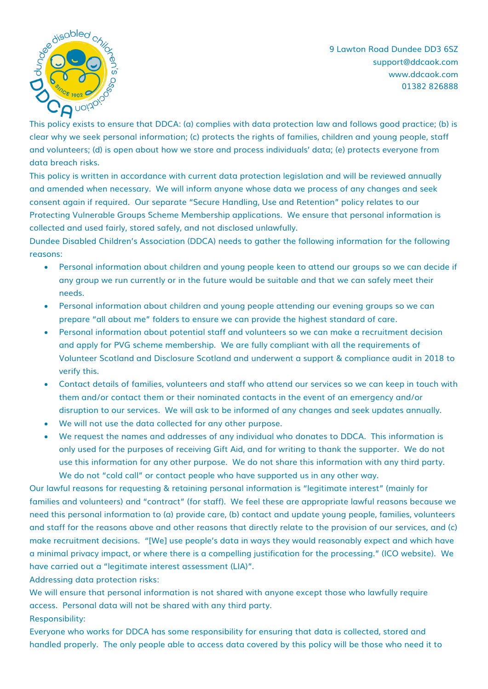

9 Lawton Road Dundee DD3 6SZ support@ddcaok.com www.ddcaok.com 01382 826888

This policy exists to ensure that DDCA: (a) complies with data protection law and follows good practice; (b) is clear why we seek personal information; (c) protects the rights of families, children and young people, staff and volunteers; (d) is open about how we store and process individuals' data; (e) protects everyone from data breach risks.

This policy is written in accordance with current data protection legislation and will be reviewed annually and amended when necessary. We will inform anyone whose data we process of any changes and seek consent again if required. Our separate "Secure Handling, Use and Retention" policy relates to our Protecting Vulnerable Groups Scheme Membership applications. We ensure that personal information is collected and used fairly, stored safely, and not disclosed unlawfully.

Dundee Disabled Children's Association (DDCA) needs to gather the following information for the following reasons:

- Personal information about children and young people keen to attend our groups so we can decide if any group we run currently or in the future would be suitable and that we can safely meet their needs.
- Personal information about children and young people attending our evening groups so we can prepare "all about me" folders to ensure we can provide the highest standard of care.
- Personal information about potential staff and volunteers so we can make a recruitment decision and apply for PVG scheme membership. We are fully compliant with all the requirements of Volunteer Scotland and Disclosure Scotland and underwent a support & compliance audit in 2018 to verify this.
- Contact details of families, volunteers and staff who attend our services so we can keep in touch with them and/or contact them or their nominated contacts in the event of an emergency and/or disruption to our services. We will ask to be informed of any changes and seek updates annually.
- We will not use the data collected for any other purpose.
- We request the names and addresses of any individual who donates to DDCA. This information is only used for the purposes of receiving Gift Aid, and for writing to thank the supporter. We do not use this information for any other purpose. We do not share this information with any third party. We do not "cold call" or contact people who have supported us in any other way.

Our lawful reasons for requesting & retaining personal information is "legitimate interest" (mainly for families and volunteers) and "contract" (for staff). We feel these are appropriate lawful reasons because we need this personal information to (a) provide care, (b) contact and update young people, families, volunteers and staff for the reasons above and other reasons that directly relate to the provision of our services, and (c) make recruitment decisions. "[We] use people's data in ways they would reasonably expect and which have a minimal privacy impact, or where there is a compelling justification for the processing." (ICO website). We have carried out a "legitimate interest assessment (LIA)".

Addressing data protection risks:

We will ensure that personal information is not shared with anyone except those who lawfully require access. Personal data will not be shared with any third party. Responsibility:

Everyone who works for DDCA has some responsibility for ensuring that data is collected, stored and handled properly. The only people able to access data covered by this policy will be those who need it to